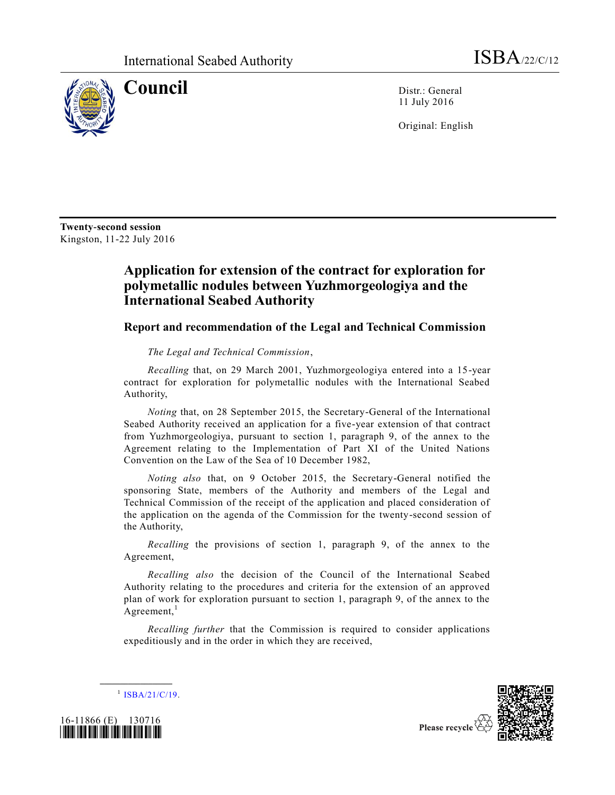

**Council** Distr.: General 11 July 2016

Original: English

**Twenty-second session** Kingston, 11-22 July 2016

## **Application for extension of the contract for exploration for polymetallic nodules between Yuzhmorgeologiya and the International Seabed Authority**

## **Report and recommendation of the Legal and Technical Commission**

*The Legal and Technical Commission*,

*Recalling* that, on 29 March 2001, Yuzhmorgeologiya entered into a 15-year contract for exploration for polymetallic nodules with the International Seabed Authority,

*Noting* that, on 28 September 2015, the Secretary-General of the International Seabed Authority received an application for a five-year extension of that contract from Yuzhmorgeologiya, pursuant to section 1, paragraph 9, of the annex to the Agreement relating to the Implementation of Part XI of the United Nations Convention on the Law of the Sea of 10 December 1982,

*Noting also* that, on 9 October 2015, the Secretary-General notified the sponsoring State, members of the Authority and members of the Legal and Technical Commission of the receipt of the application and placed consideration of the application on the agenda of the Commission for the twenty-second session of the Authority,

*Recalling* the provisions of section 1, paragraph 9, of the annex to the Agreement,

*Recalling also* the decision of the Council of the International Seabed Authority relating to the procedures and criteria for the extension of an approved plan of work for exploration pursuant to section 1, paragraph 9, of the annex to the Agreement, $<sup>1</sup>$ </sup>

*Recalling further* that the Commission is required to consider applications expeditiously and in the order in which they are received,





Please recycle

**\_\_\_\_\_\_\_\_\_\_\_\_\_\_\_\_\_\_**